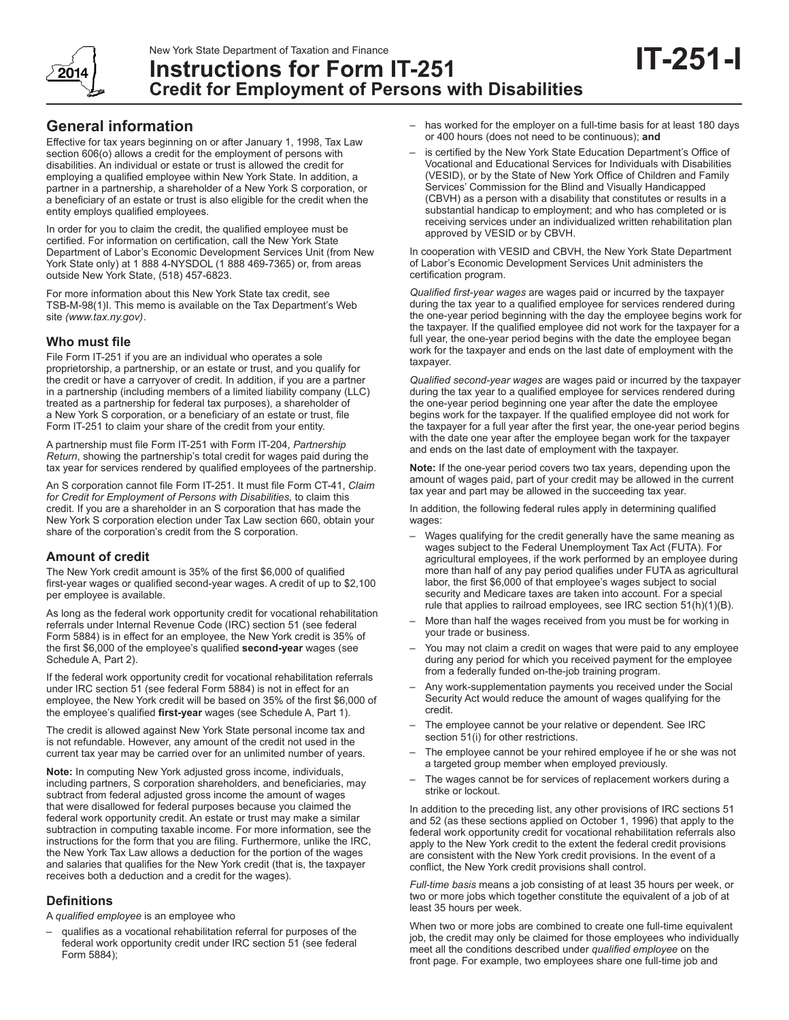

**Credit for Employment of Persons with Disabilities**

# **General information**

Effective for tax years beginning on or after January 1, 1998, Tax Law section 606(o) allows a credit for the employment of persons with disabilities. An individual or estate or trust is allowed the credit for employing a qualified employee within New York State. In addition, a partner in a partnership, a shareholder of a New York S corporation, or a beneficiary of an estate or trust is also eligible for the credit when the entity employs qualified employees.

In order for you to claim the credit, the qualified employee must be certified. For information on certification, call the New York State Department of Labor's Economic Development Services Unit (from New York State only) at 1 888 4-NYSDOL (1 888 469-7365) or, from areas outside New York State, (518) 457-6823.

For more information about this New York State tax credit, see TSB-M-98(1)I. This memo is available on the Tax Department's Web site *(www.tax.ny.gov)*.

# **Who must file**

File Form IT-251 if you are an individual who operates a sole proprietorship, a partnership, or an estate or trust, and you qualify for the credit or have a carryover of credit. In addition, if you are a partner in a partnership (including members of a limited liability company (LLC) treated as a partnership for federal tax purposes), a shareholder of a New York S corporation, or a beneficiary of an estate or trust, file Form IT-251 to claim your share of the credit from your entity.

A partnership must file Form IT-251 with Form IT-204, *Partnership Return*, showing the partnership's total credit for wages paid during the tax year for services rendered by qualified employees of the partnership.

An S corporation cannot file Form IT-251. It must file Form CT‑41, *Claim for Credit for Employment of Persons with Disabilities,* to claim this credit. If you are a shareholder in an S corporation that has made the New York S corporation election under Tax Law section 660, obtain your share of the corporation's credit from the S corporation.

# **Amount of credit**

The New York credit amount is 35% of the first \$6,000 of qualified first-year wages or qualified second‑year wages. A credit of up to \$2,100 per employee is available.

As long as the federal work opportunity credit for vocational rehabilitation referrals under Internal Revenue Code (IRC) section 51 (see federal Form 5884) is in effect for an employee, the New York credit is 35% of the first \$6,000 of the employee's qualified **second-year** wages (see Schedule A, Part 2).

If the federal work opportunity credit for vocational rehabilitation referrals under IRC section 51 (see federal Form 5884) is not in effect for an employee, the New York credit will be based on 35% of the first \$6,000 of the employee's qualified **first-year** wages (see Schedule A, Part 1).

The credit is allowed against New York State personal income tax and is not refundable. However, any amount of the credit not used in the current tax year may be carried over for an unlimited number of years.

**Note:** In computing New York adjusted gross income, individuals, including partners, S corporation shareholders, and beneficiaries, may subtract from federal adjusted gross income the amount of wages that were disallowed for federal purposes because you claimed the federal work opportunity credit. An estate or trust may make a similar subtraction in computing taxable income. For more information, see the instructions for the form that you are filing. Furthermore, unlike the IRC, the New York Tax Law allows a deduction for the portion of the wages and salaries that qualifies for the New York credit (that is, the taxpayer receives both a deduction and a credit for the wages).

# **Definitions**

A *qualified employee* is an employee who

– qualifies as a vocational rehabilitation referral for purposes of the federal work opportunity credit under IRC section 51 (see federal Form 5884);

– has worked for the employer on a full-time basis for at least 180 days or 400 hours (does not need to be continuous); **and** 

**IT-251-I**

is certified by the New York State Education Department's Office of Vocational and Educational Services for Individuals with Disabilities (VESID), or by the State of New York Office of Children and Family Services' Commission for the Blind and Visually Handicapped (CBVH) as a person with a disability that constitutes or results in a substantial handicap to employment; and who has completed or is receiving services under an individualized written rehabilitation plan approved by VESID or by CBVH.

In cooperation with VESID and CBVH, the New York State Department of Labor's Economic Development Services Unit administers the certification program.

*Qualified first-year wages* are wages paid or incurred by the taxpayer during the tax year to a qualified employee for services rendered during the one-year period beginning with the day the employee begins work for the taxpayer. If the qualified employee did not work for the taxpayer for a full year, the one-year period begins with the date the employee began work for the taxpayer and ends on the last date of employment with the taxpayer.

*Qualified second-year wages* are wages paid or incurred by the taxpayer during the tax year to a qualified employee for services rendered during the one-year period beginning one year after the date the employee begins work for the taxpayer. If the qualified employee did not work for the taxpayer for a full year after the first year, the one-year period begins with the date one year after the employee began work for the taxpayer and ends on the last date of employment with the taxpayer.

**Note:** If the one-year period covers two tax years, depending upon the amount of wages paid, part of your credit may be allowed in the current tax year and part may be allowed in the succeeding tax year.

In addition, the following federal rules apply in determining qualified wages:

- Wages qualifying for the credit generally have the same meaning as wages subject to the Federal Unemployment Tax Act (FUTA). For agricultural employees, if the work performed by an employee during more than half of any pay period qualifies under FUTA as agricultural labor, the first \$6,000 of that employee's wages subject to social security and Medicare taxes are taken into account. For a special rule that applies to railroad employees, see IRC section 51(h)(1)(B).
- More than half the wages received from you must be for working in your trade or business.
- You may not claim a credit on wages that were paid to any employee during any period for which you received payment for the employee from a federally funded on-the-job training program.
- Any work-supplementation payments you received under the Social Security Act would reduce the amount of wages qualifying for the credit.
- The employee cannot be your relative or dependent. See IRC section 51(i) for other restrictions.
- The employee cannot be your rehired employee if he or she was not a targeted group member when employed previously.
- The wages cannot be for services of replacement workers during a strike or lockout.

In addition to the preceding list, any other provisions of IRC sections 51 and 52 (as these sections applied on October 1, 1996) that apply to the federal work opportunity credit for vocational rehabilitation referrals also apply to the New York credit to the extent the federal credit provisions are consistent with the New York credit provisions. In the event of a conflict, the New York credit provisions shall control.

*Full-time basis* means a job consisting of at least 35 hours per week, or two or more jobs which together constitute the equivalent of a job of at least 35 hours per week.

When two or more jobs are combined to create one full-time equivalent job, the credit may only be claimed for those employees who individually meet all the conditions described under *qualified employee* on the front page. For example, two employees share one full-time job and